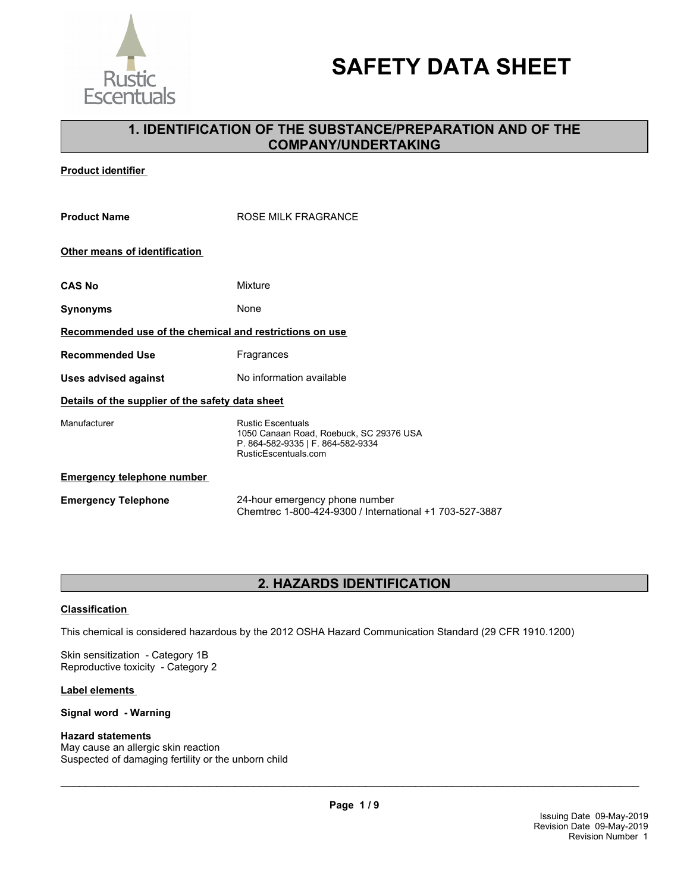

# **SAFETY DATA SHEET**

# **1. IDENTIFICATION OF THE SUBSTANCE/PREPARATION AND OF THE COMPANY/UNDERTAKING**

**Product identifier** 

| <b>Product Name</b>                                     | ROSE MILK FRAGRANCE                                                                                                              |  |
|---------------------------------------------------------|----------------------------------------------------------------------------------------------------------------------------------|--|
| Other means of identification                           |                                                                                                                                  |  |
| CAS No                                                  | Mixture                                                                                                                          |  |
| Synonyms                                                | None                                                                                                                             |  |
| Recommended use of the chemical and restrictions on use |                                                                                                                                  |  |
| <b>Recommended Use</b>                                  | Fragrances                                                                                                                       |  |
| <b>Uses advised against</b>                             | No information available                                                                                                         |  |
| Details of the supplier of the safety data sheet        |                                                                                                                                  |  |
| Manufacturer                                            | <b>Rustic Escentuals</b><br>1050 Canaan Road, Roebuck, SC 29376 USA<br>P. 864-582-9335   F. 864-582-9334<br>RusticEscentuals.com |  |
| <b>Emergency telephone number</b>                       |                                                                                                                                  |  |
| <b>Emergency Telephone</b>                              | 24-hour emergency phone number                                                                                                   |  |

# **2. HAZARDS IDENTIFICATION**

Chemtrec 1-800-424-9300 / International +1 703-527-3887

#### **Classification**

This chemical is considered hazardous by the 2012 OSHA Hazard Communication Standard (29 CFR 1910.1200)

Skin sensitization - Category 1B Reproductive toxicity - Category 2

#### **Label elements**

#### **Signal word - Warning**

#### **Hazard statements**

May cause an allergic skin reaction Suspected of damaging fertility or the unborn child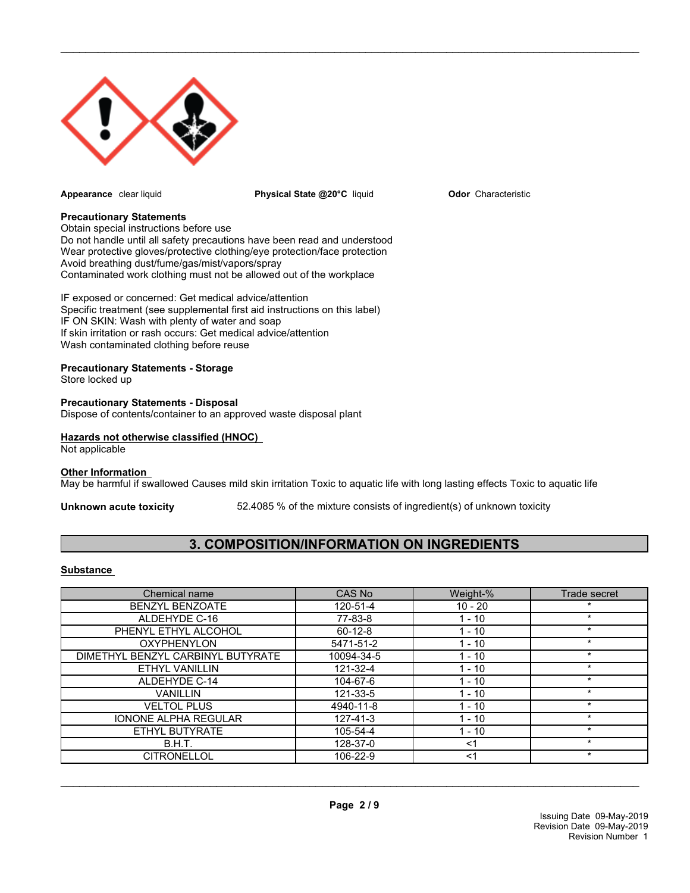

**Appearance** clear liquid **Physical State @20°C** liquid

 $\_$  ,  $\_$  ,  $\_$  ,  $\_$  ,  $\_$  ,  $\_$  ,  $\_$  ,  $\_$  ,  $\_$  ,  $\_$  ,  $\_$  ,  $\_$  ,  $\_$  ,  $\_$  ,  $\_$  ,  $\_$  ,  $\_$  ,  $\_$  ,  $\_$  ,  $\_$  ,  $\_$  ,  $\_$  ,  $\_$  ,  $\_$  ,  $\_$  ,  $\_$  ,  $\_$  ,  $\_$  ,  $\_$  ,  $\_$  ,  $\_$  ,  $\_$  ,  $\_$  ,  $\_$  ,  $\_$  ,  $\_$  ,  $\_$  ,

**Odor** Characteristic

#### **Precautionary Statements**

Obtain special instructions before use Do not handle until all safety precautions have been read and understood Wear protective gloves/protective clothing/eye protection/face protection Avoid breathing dust/fume/gas/mist/vapors/spray Contaminated work clothing must not be allowed out of the workplace

IF exposed or concerned: Get medical advice/attention Specific treatment (see supplemental first aid instructions on this label) IF ON SKIN: Wash with plenty of water and soap If skin irritation or rash occurs: Get medical advice/attention Wash contaminated clothing before reuse

#### **Precautionary Statements - Storage**

Store locked up

#### **Precautionary Statements - Disposal**

Dispose of contents/container to an approved waste disposal plant

#### **Hazards not otherwise classified (HNOC)**

Not applicable

#### **Other Information**

May be harmful if swallowed Causes mild skin irritation Toxic to aquatic life with long lasting effects Toxic to aquatic life

**Unknown acute toxicity** 52.4085 % of the mixture consists of ingredient(s) of unknown toxicity

# **3. COMPOSITION/INFORMATION ON INGREDIENTS**

#### **Substance**

| Chemical name                     | CAS No        | Weight-%  | Trade secret |
|-----------------------------------|---------------|-----------|--------------|
| <b>BENZYL BENZOATE</b>            | 120-51-4      | $10 - 20$ | $\star$      |
| ALDEHYDE C-16                     | 77-83-8       | $1 - 10$  | $\star$      |
| PHENYL ETHYL ALCOHOL              | $60 - 12 - 8$ | $1 - 10$  | $\star$      |
| <b>OXYPHENYLON</b>                | 5471-51-2     | $1 - 10$  | $\star$      |
| DIMETHYL BENZYL CARBINYL BUTYRATE | 10094-34-5    | $1 - 10$  | $\star$      |
| <b>ETHYL VANILLIN</b>             | 121-32-4      | $1 - 10$  | $\star$      |
| ALDEHYDE C-14                     | 104-67-6      | $1 - 10$  | $\star$      |
| <b>VANILLIN</b>                   | 121-33-5      | $1 - 10$  | $\star$      |
| <b>VELTOL PLUS</b>                | 4940-11-8     | $1 - 10$  | $\star$      |
| <b>IONONE ALPHA REGULAR</b>       | 127-41-3      | $1 - 10$  | $\star$      |
| ETHYL BUTYRATE                    | 105-54-4      | $1 - 10$  | $\star$      |
| B.H.T.                            | 128-37-0      | $<$ 1     | $\star$      |
| <b>CITRONELLOL</b>                | 106-22-9      | <1        | $\star$      |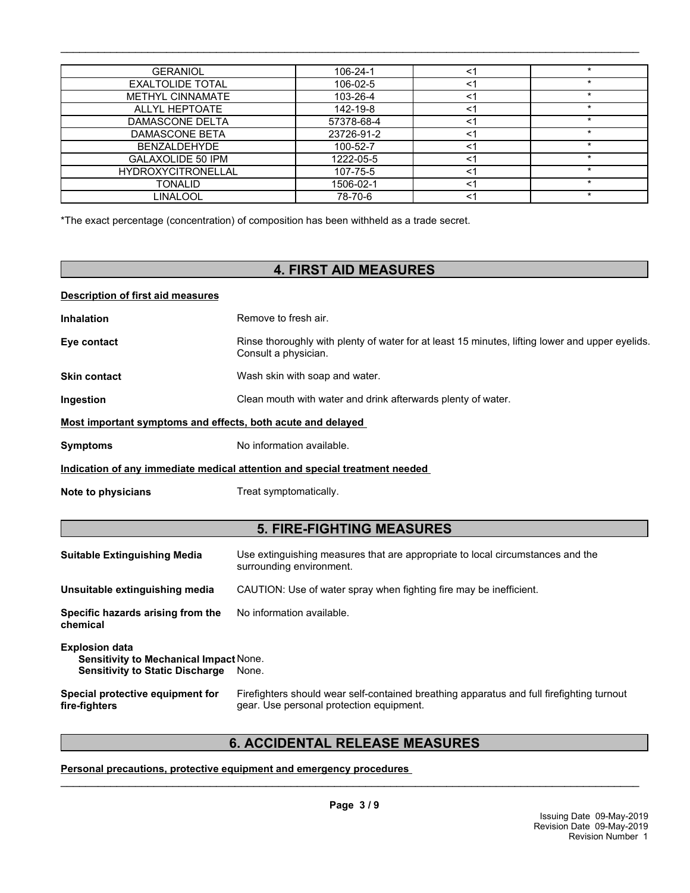| <b>GERANIOL</b>           | 106-24-1   | <1    | $\star$ |
|---------------------------|------------|-------|---------|
| <b>EXALTOLIDE TOTAL</b>   | 106-02-5   | <1    | $\star$ |
| <b>METHYL CINNAMATE</b>   | 103-26-4   | <1    |         |
| <b>ALLYL HEPTOATE</b>     | 142-19-8   | <1    |         |
| DAMASCONE DELTA           | 57378-68-4 | <1    | *       |
| DAMASCONE BETA            | 23726-91-2 | <1    |         |
| <b>BENZALDEHYDE</b>       | 100-52-7   | <1    | $\star$ |
| GALAXOLIDE 50 IPM         | 1222-05-5  | <1    | $\star$ |
| <b>HYDROXYCITRONELLAL</b> | 107-75-5   | <1    |         |
| TONALID                   | 1506-02-1  | <1    | $\star$ |
| LINALOOL                  | 78-70-6    | $<$ 1 | $\star$ |

 $\_$  ,  $\_$  ,  $\_$  ,  $\_$  ,  $\_$  ,  $\_$  ,  $\_$  ,  $\_$  ,  $\_$  ,  $\_$  ,  $\_$  ,  $\_$  ,  $\_$  ,  $\_$  ,  $\_$  ,  $\_$  ,  $\_$  ,  $\_$  ,  $\_$  ,  $\_$  ,  $\_$  ,  $\_$  ,  $\_$  ,  $\_$  ,  $\_$  ,  $\_$  ,  $\_$  ,  $\_$  ,  $\_$  ,  $\_$  ,  $\_$  ,  $\_$  ,  $\_$  ,  $\_$  ,  $\_$  ,  $\_$  ,  $\_$  ,

\*The exact percentage (concentration) of composition has been withheld as a trade secret.

# **4. FIRST AID MEASURES**

#### **Description of first aid measures**

| <b>Inhalation</b> | Remove to fresh air.                                                                                                    |
|-------------------|-------------------------------------------------------------------------------------------------------------------------|
| Eye contact       | Rinse thoroughly with plenty of water for at least 15 minutes, lifting lower and upper eyelids.<br>Consult a physician. |

### **Skin contact** Wash skin with soap and water.

**Ingestion Clean mouth with water and drink afterwards plenty of water.** 

#### **Most important symptoms and effects, both acute and delayed**

**Symptoms** No information available.

#### **Indication of any immediate medical attention and special treatment needed**

**Note to physicians** Treat symptomatically.

## **5. FIRE-FIGHTING MEASURES**

| <b>Suitable Extinguishing Media</b>                                                                       | Use extinguishing measures that are appropriate to local circumstances and the<br>surrounding environment.                            |  |
|-----------------------------------------------------------------------------------------------------------|---------------------------------------------------------------------------------------------------------------------------------------|--|
| Unsuitable extinguishing media                                                                            | CAUTION: Use of water spray when fighting fire may be inefficient.                                                                    |  |
| Specific hazards arising from the<br>chemical                                                             | No information available.                                                                                                             |  |
| <b>Explosion data</b><br>Sensitivity to Mechanical Impact None.<br><b>Sensitivity to Static Discharge</b> | None.                                                                                                                                 |  |
| Special protective equipment for<br>fire-fighters                                                         | Firefighters should wear self-contained breathing apparatus and full firefighting turnout<br>gear. Use personal protection equipment. |  |

# **6. ACCIDENTAL RELEASE MEASURES**

**Personal precautions, protective equipment and emergency procedures**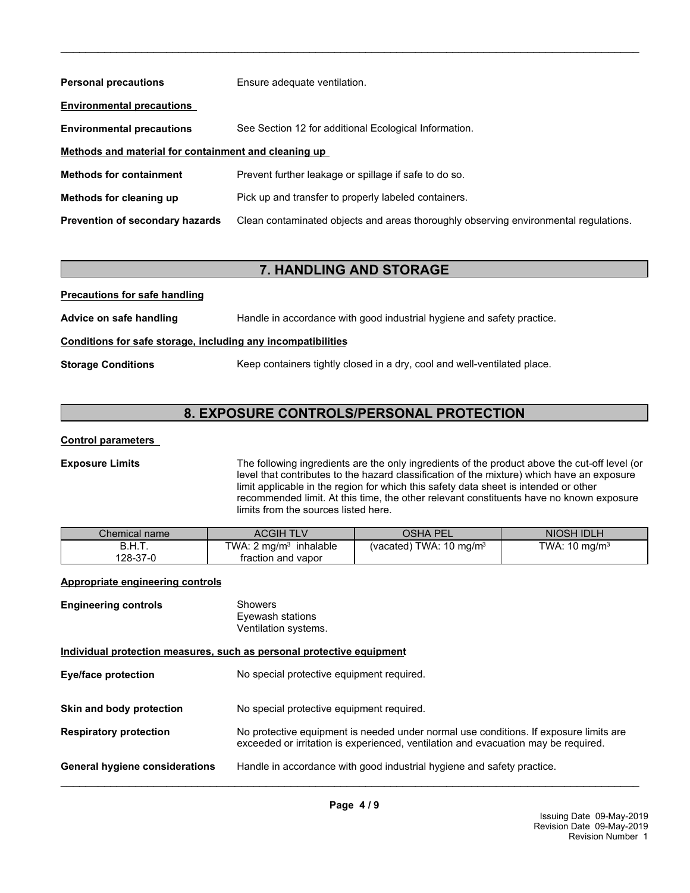| <b>Personal precautions</b>                          | Ensure adequate ventilation.                                                         |  |
|------------------------------------------------------|--------------------------------------------------------------------------------------|--|
| <b>Environmental precautions</b>                     |                                                                                      |  |
| <b>Environmental precautions</b>                     | See Section 12 for additional Ecological Information.                                |  |
| Methods and material for containment and cleaning up |                                                                                      |  |
| <b>Methods for containment</b>                       | Prevent further leakage or spillage if safe to do so.                                |  |
| Methods for cleaning up                              | Pick up and transfer to properly labeled containers.                                 |  |
| <b>Prevention of secondary hazards</b>               | Clean contaminated objects and areas thoroughly observing environmental regulations. |  |

 $\_$  ,  $\_$  ,  $\_$  ,  $\_$  ,  $\_$  ,  $\_$  ,  $\_$  ,  $\_$  ,  $\_$  ,  $\_$  ,  $\_$  ,  $\_$  ,  $\_$  ,  $\_$  ,  $\_$  ,  $\_$  ,  $\_$  ,  $\_$  ,  $\_$  ,  $\_$  ,  $\_$  ,  $\_$  ,  $\_$  ,  $\_$  ,  $\_$  ,  $\_$  ,  $\_$  ,  $\_$  ,  $\_$  ,  $\_$  ,  $\_$  ,  $\_$  ,  $\_$  ,  $\_$  ,  $\_$  ,  $\_$  ,  $\_$  ,

# **7. HANDLING AND STORAGE**

**Precautions for safe handling Advice on safe handling** Handle in accordance with good industrial hygiene and safety practice. **Conditions for safe storage, including any incompatibilities Storage Conditions** Keep containers tightly closed in a dry, cool and well-ventilated place.

# **8. EXPOSURE CONTROLS/PERSONAL PROTECTION**

### **Control parameters**

**Exposure Limits** The following ingredients are the only ingredients of the product above the cut-off level (or level that contributes to the hazard classification of the mixture) which have an exposure limit applicable in the region for which this safety data sheet is intended or other recommended limit. At this time, the other relevant constituents have no known exposure limits from the sources listed here.

| Chemical name | ACGIH TLV                         | OSHA PEL                           | NIOSH IDLH               |
|---------------|-----------------------------------|------------------------------------|--------------------------|
| B.H.T.        | TWA: $2 \text{ mg/m}^3$ inhalable | (vacated) TWA: $10 \text{ mg/m}^3$ | TWA: $10 \text{ mg/m}^3$ |
| 128-37-0      | fraction and vapor                |                                    |                          |

### **Appropriate engineering controls**

| <b>Engineering controls</b> | Showers<br>Eyewash stations<br>Ventilation systems. |
|-----------------------------|-----------------------------------------------------|
|                             |                                                     |

#### **Individual protection measures, such as personal protective equipment**

| <b>Eye/face protection</b>            | No special protective equipment required.                                                                                                                                   |
|---------------------------------------|-----------------------------------------------------------------------------------------------------------------------------------------------------------------------------|
| Skin and body protection              | No special protective equipment required.                                                                                                                                   |
| <b>Respiratory protection</b>         | No protective equipment is needed under normal use conditions. If exposure limits are<br>exceeded or irritation is experienced, ventilation and evacuation may be required. |
| <b>General hygiene considerations</b> | Handle in accordance with good industrial hygiene and safety practice.                                                                                                      |

**Page 4 / 9**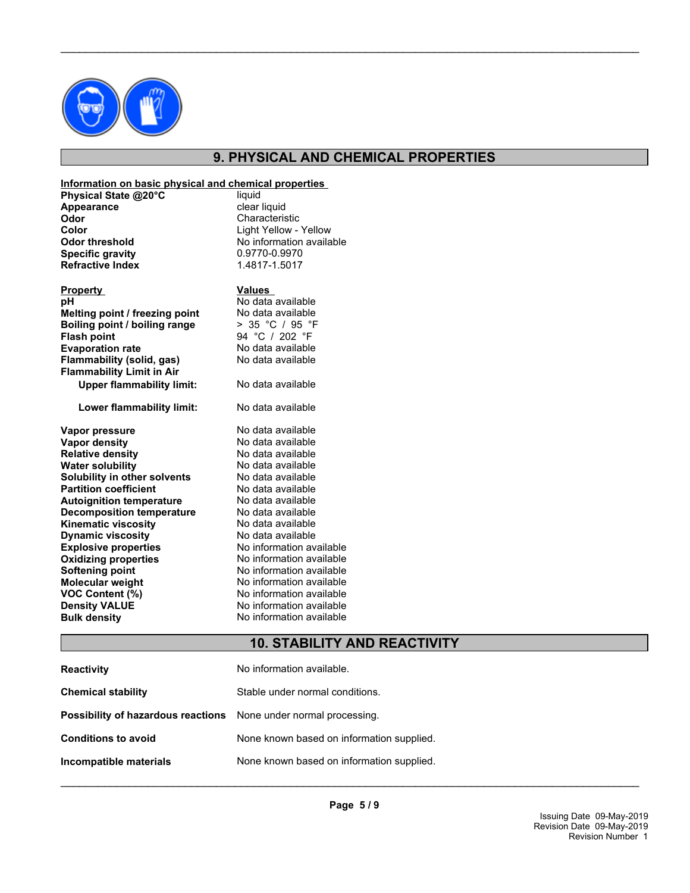

# **9. PHYSICAL AND CHEMICAL PROPERTIES**

 $\_$  ,  $\_$  ,  $\_$  ,  $\_$  ,  $\_$  ,  $\_$  ,  $\_$  ,  $\_$  ,  $\_$  ,  $\_$  ,  $\_$  ,  $\_$  ,  $\_$  ,  $\_$  ,  $\_$  ,  $\_$  ,  $\_$  ,  $\_$  ,  $\_$  ,  $\_$  ,  $\_$  ,  $\_$  ,  $\_$  ,  $\_$  ,  $\_$  ,  $\_$  ,  $\_$  ,  $\_$  ,  $\_$  ,  $\_$  ,  $\_$  ,  $\_$  ,  $\_$  ,  $\_$  ,  $\_$  ,  $\_$  ,  $\_$  ,

#### **Information on basic physical and chemical properties**

| Physical State @20°C    | liquid                   |
|-------------------------|--------------------------|
| Appearance              | clear liquid             |
| Odor                    | Characteristic           |
| <b>Color</b>            | Light Yellow - Yellow    |
| <b>Odor threshold</b>   | No information available |
| <b>Specific gravity</b> | 0.9770-0.9970            |
| <b>Refractive Index</b> | 1.4817-1.5017            |
|                         |                          |

| <b>Property</b>                  | <b>Values</b>            |
|----------------------------------|--------------------------|
| pН                               | No data available        |
| Melting point / freezing point   | No data available        |
| Boiling point / boiling range    | > 35 °C / 95 °F          |
| <b>Flash point</b>               | 94 °C / 202 °F           |
| <b>Evaporation rate</b>          | No data available        |
| Flammability (solid, gas)        | No data available        |
| <b>Flammability Limit in Air</b> |                          |
| <b>Upper flammability limit:</b> | No data available        |
| Lower flammability limit:        | No data available        |
| Vapor pressure                   | No data available        |
| Vapor density                    | No data available        |
| <b>Relative density</b>          | No data available        |
| <b>Water solubility</b>          | No data available        |
| Solubility in other solvents     | No data available        |
| <b>Partition coefficient</b>     | No data available        |
| <b>Autoignition temperature</b>  | No data available        |
| <b>Decomposition temperature</b> | No data available        |
| <b>Kinematic viscosity</b>       | No data available        |
| <b>Dynamic viscosity</b>         | No data available        |
| <b>Explosive properties</b>      | No information available |
| <b>Oxidizing properties</b>      | No information available |
| <b>Softening point</b>           | No information available |
| Molecular weight                 | No information available |
| VOC Content (%)                  | No information available |
| <b>Density VALUE</b>             | No information available |
| <b>Bulk density</b>              | No information available |
|                                  |                          |

# **10. STABILITY AND REACTIVITY**

| <b>Reactivity</b>                                                       | No information available.                 |
|-------------------------------------------------------------------------|-------------------------------------------|
| <b>Chemical stability</b>                                               | Stable under normal conditions.           |
| <b>Possibility of hazardous reactions</b> None under normal processing. |                                           |
| <b>Conditions to avoid</b>                                              | None known based on information supplied. |
| Incompatible materials                                                  | None known based on information supplied. |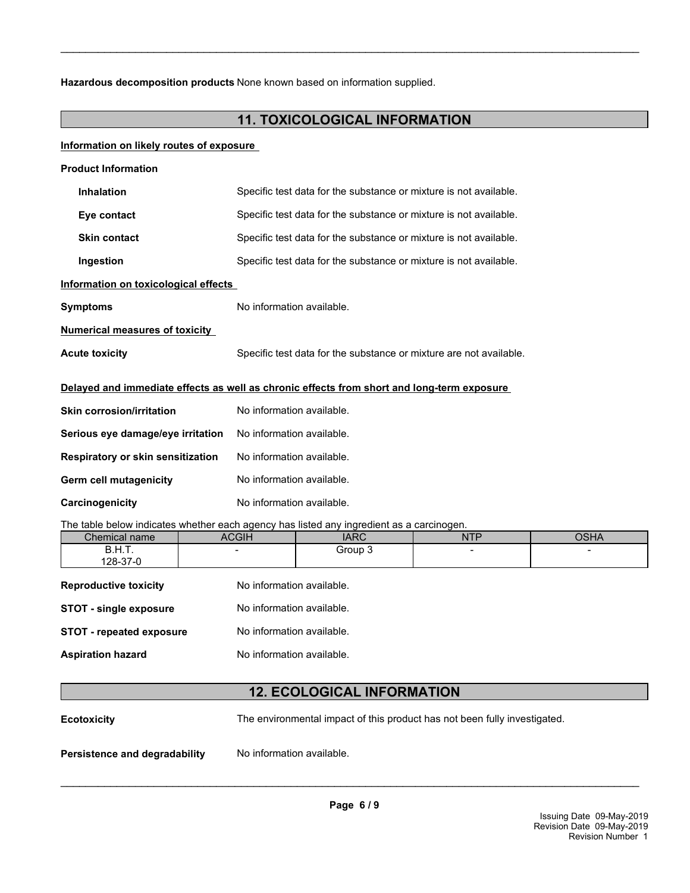**Hazardous decomposition products** None known based on information supplied.

# **11. TOXICOLOGICAL INFORMATION**

 $\_$  ,  $\_$  ,  $\_$  ,  $\_$  ,  $\_$  ,  $\_$  ,  $\_$  ,  $\_$  ,  $\_$  ,  $\_$  ,  $\_$  ,  $\_$  ,  $\_$  ,  $\_$  ,  $\_$  ,  $\_$  ,  $\_$  ,  $\_$  ,  $\_$  ,  $\_$  ,  $\_$  ,  $\_$  ,  $\_$  ,  $\_$  ,  $\_$  ,  $\_$  ,  $\_$  ,  $\_$  ,  $\_$  ,  $\_$  ,  $\_$  ,  $\_$  ,  $\_$  ,  $\_$  ,  $\_$  ,  $\_$  ,  $\_$  ,

#### **Information on likely routes of exposure**

| <b>Product Information</b>                                                                 |                                                                    |  |  |  |
|--------------------------------------------------------------------------------------------|--------------------------------------------------------------------|--|--|--|
| <b>Inhalation</b>                                                                          | Specific test data for the substance or mixture is not available.  |  |  |  |
| Eye contact                                                                                | Specific test data for the substance or mixture is not available.  |  |  |  |
| <b>Skin contact</b>                                                                        | Specific test data for the substance or mixture is not available.  |  |  |  |
| Ingestion                                                                                  | Specific test data for the substance or mixture is not available.  |  |  |  |
| Information on toxicological effects                                                       |                                                                    |  |  |  |
| <b>Symptoms</b>                                                                            | No information available.                                          |  |  |  |
| <b>Numerical measures of toxicity</b>                                                      |                                                                    |  |  |  |
| <b>Acute toxicity</b>                                                                      | Specific test data for the substance or mixture are not available. |  |  |  |
| Delayed and immediate effects as well as chronic effects from short and long-term exposure |                                                                    |  |  |  |
| <b>Skin corrosion/irritation</b>                                                           | No information available.                                          |  |  |  |
| Serious eye damage/eye irritation                                                          | No information available.                                          |  |  |  |
| Respiratory or skin sensitization                                                          | No information available.                                          |  |  |  |
| Germ cell mutagenicity                                                                     | No information available.                                          |  |  |  |
| Carcinogenicity                                                                            | No information available.                                          |  |  |  |
| The table helow indicates whether each agency has listed any ingredient as a carcinogen    |                                                                    |  |  |  |

The table below indicates whether each agency has listed any ingredient as a carcinogen.

| Chemical name                | ACGIH                     | <b>IARC</b> | <b>NTP</b>               | OSHA |
|------------------------------|---------------------------|-------------|--------------------------|------|
| B.H.T.                       | $\overline{\phantom{a}}$  | Group 3     | $\overline{\phantom{a}}$ | -    |
| 128-37-0                     |                           |             |                          |      |
| <b>Reproductive toxicity</b> | No information available. |             |                          |      |

| <b>STOT - single exposure</b>   | No information available. |
|---------------------------------|---------------------------|
| <b>STOT - repeated exposure</b> | No information available. |
| <b>Aspiration hazard</b>        | No information available. |

# **12. ECOLOGICAL INFORMATION**

**Ecotoxicity** The environmental impact of this product has not been fully investigated.

**Persistence and degradability** No information available.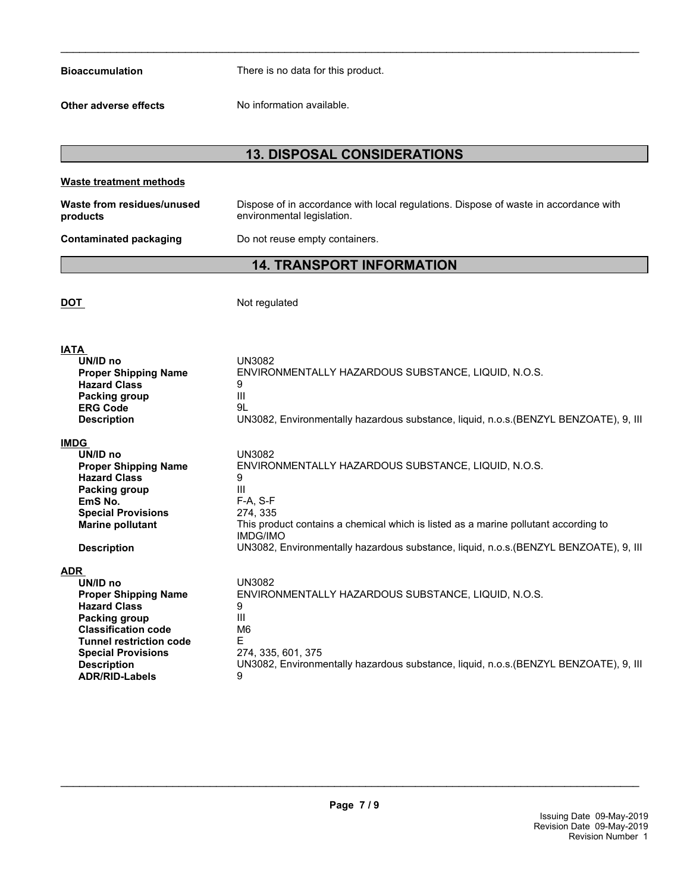| <b>Bioaccumulation</b> |  |
|------------------------|--|
|                        |  |

There is no data for this product.

**Other adverse effects** No information available.

# **13. DISPOSAL CONSIDERATIONS**

 $\_$  ,  $\_$  ,  $\_$  ,  $\_$  ,  $\_$  ,  $\_$  ,  $\_$  ,  $\_$  ,  $\_$  ,  $\_$  ,  $\_$  ,  $\_$  ,  $\_$  ,  $\_$  ,  $\_$  ,  $\_$  ,  $\_$  ,  $\_$  ,  $\_$  ,  $\_$  ,  $\_$  ,  $\_$  ,  $\_$  ,  $\_$  ,  $\_$  ,  $\_$  ,  $\_$  ,  $\_$  ,  $\_$  ,  $\_$  ,  $\_$  ,  $\_$  ,  $\_$  ,  $\_$  ,  $\_$  ,  $\_$  ,  $\_$  ,

| <b>Waste treatment methods</b>                                                                                                                                                                                                            |                                                                                                                                                                                                                                                                                                           |
|-------------------------------------------------------------------------------------------------------------------------------------------------------------------------------------------------------------------------------------------|-----------------------------------------------------------------------------------------------------------------------------------------------------------------------------------------------------------------------------------------------------------------------------------------------------------|
| Waste from residues/unused<br>products                                                                                                                                                                                                    | Dispose of in accordance with local regulations. Dispose of waste in accordance with<br>environmental legislation.                                                                                                                                                                                        |
| <b>Contaminated packaging</b>                                                                                                                                                                                                             | Do not reuse empty containers.                                                                                                                                                                                                                                                                            |
|                                                                                                                                                                                                                                           | <b>14. TRANSPORT INFORMATION</b>                                                                                                                                                                                                                                                                          |
| <b>DOT</b>                                                                                                                                                                                                                                | Not regulated                                                                                                                                                                                                                                                                                             |
| <b>IATA</b>                                                                                                                                                                                                                               |                                                                                                                                                                                                                                                                                                           |
| UN/ID no<br><b>Proper Shipping Name</b><br><b>Hazard Class</b><br>Packing group<br><b>ERG Code</b><br><b>Description</b>                                                                                                                  | <b>UN3082</b><br>ENVIRONMENTALLY HAZARDOUS SUBSTANCE, LIQUID, N.O.S.<br>9<br>Ш<br>91<br>UN3082, Environmentally hazardous substance, liquid, n.o.s. (BENZYL BENZOATE), 9, III                                                                                                                             |
| <b>IMDG</b>                                                                                                                                                                                                                               |                                                                                                                                                                                                                                                                                                           |
| UN/ID no<br><b>Proper Shipping Name</b><br><b>Hazard Class</b><br>Packing group<br>EmS No.<br><b>Special Provisions</b><br><b>Marine pollutant</b>                                                                                        | <b>UN3082</b><br>ENVIRONMENTALLY HAZARDOUS SUBSTANCE, LIQUID, N.O.S.<br>9<br>Ш<br>F-A, S-F<br>274, 335<br>This product contains a chemical which is listed as a marine pollutant according to<br><b>IMDG/IMO</b><br>UN3082, Environmentally hazardous substance, liquid, n.o.s. (BENZYL BENZOATE), 9, III |
| <b>Description</b>                                                                                                                                                                                                                        |                                                                                                                                                                                                                                                                                                           |
| <b>ADR</b><br>UN/ID no<br><b>Proper Shipping Name</b><br><b>Hazard Class</b><br>Packing group<br><b>Classification code</b><br><b>Tunnel restriction code</b><br><b>Special Provisions</b><br><b>Description</b><br><b>ADR/RID-Labels</b> | <b>UN3082</b><br>ENVIRONMENTALLY HAZARDOUS SUBSTANCE, LIQUID, N.O.S.<br>9<br>Ш<br>M6<br>E<br>274, 335, 601, 375<br>UN3082, Environmentally hazardous substance, liquid, n.o.s. (BENZYL BENZOATE), 9, III<br>9                                                                                             |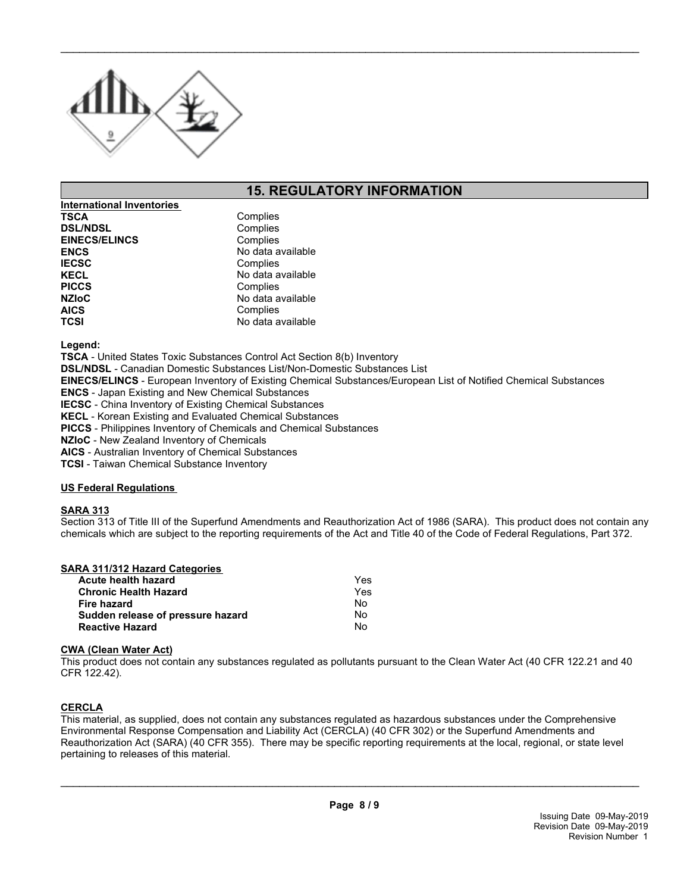

# **15. REGULATORY INFORMATION**

 $\_$  ,  $\_$  ,  $\_$  ,  $\_$  ,  $\_$  ,  $\_$  ,  $\_$  ,  $\_$  ,  $\_$  ,  $\_$  ,  $\_$  ,  $\_$  ,  $\_$  ,  $\_$  ,  $\_$  ,  $\_$  ,  $\_$  ,  $\_$  ,  $\_$  ,  $\_$  ,  $\_$  ,  $\_$  ,  $\_$  ,  $\_$  ,  $\_$  ,  $\_$  ,  $\_$  ,  $\_$  ,  $\_$  ,  $\_$  ,  $\_$  ,  $\_$  ,  $\_$  ,  $\_$  ,  $\_$  ,  $\_$  ,  $\_$  ,

| International Inventories |                   |
|---------------------------|-------------------|
| <b>TSCA</b>               | Complies          |
| <b>DSL/NDSL</b>           | Complies          |
| <b>EINECS/ELINCS</b>      | Complies          |
| <b>ENCS</b>               | No data available |
| <b>IECSC</b>              | Complies          |
| <b>KECL</b>               | No data available |
| <b>PICCS</b>              | Complies          |
| <b>NZIoC</b>              | No data available |
| <b>AICS</b>               | Complies          |
| <b>TCSI</b>               | No data available |

**Legend:**

**TSCA** - United States Toxic Substances Control Act Section 8(b) Inventory

**DSL/NDSL** - Canadian Domestic Substances List/Non-Domestic Substances List

**EINECS/ELINCS** - European Inventory of Existing Chemical Substances/European List of Notified Chemical Substances

**ENCS** - Japan Existing and New Chemical Substances

**IECSC** - China Inventory of Existing Chemical Substances

**KECL** - Korean Existing and Evaluated Chemical Substances

**PICCS** - Philippines Inventory of Chemicals and Chemical Substances

**NZIoC** - New Zealand Inventory of Chemicals

**AICS** - Australian Inventory of Chemical Substances

**TCSI** - Taiwan Chemical Substance Inventory

#### **US Federal Regulations**

#### **SARA 313**

Section 313 of Title III of the Superfund Amendments and Reauthorization Act of 1986 (SARA). This product does not contain any chemicals which are subject to the reporting requirements of the Act and Title 40 of the Code of Federal Regulations, Part 372.

#### **SARA 311/312 Hazard Categories**

| Yes |
|-----|
| Yes |
| N٥  |
| No. |
| N٥  |
|     |

#### **CWA (Clean Water Act)**

This product does not contain any substances regulated as pollutants pursuant to the Clean Water Act (40 CFR 122.21 and 40 CFR 122.42).

#### **CERCLA**

This material, as supplied, does not contain any substances regulated as hazardous substances under the Comprehensive Environmental Response Compensation and Liability Act (CERCLA) (40 CFR 302) or the Superfund Amendments and Reauthorization Act (SARA) (40 CFR 355). There may be specific reporting requirements at the local, regional, or state level pertaining to releases of this material.